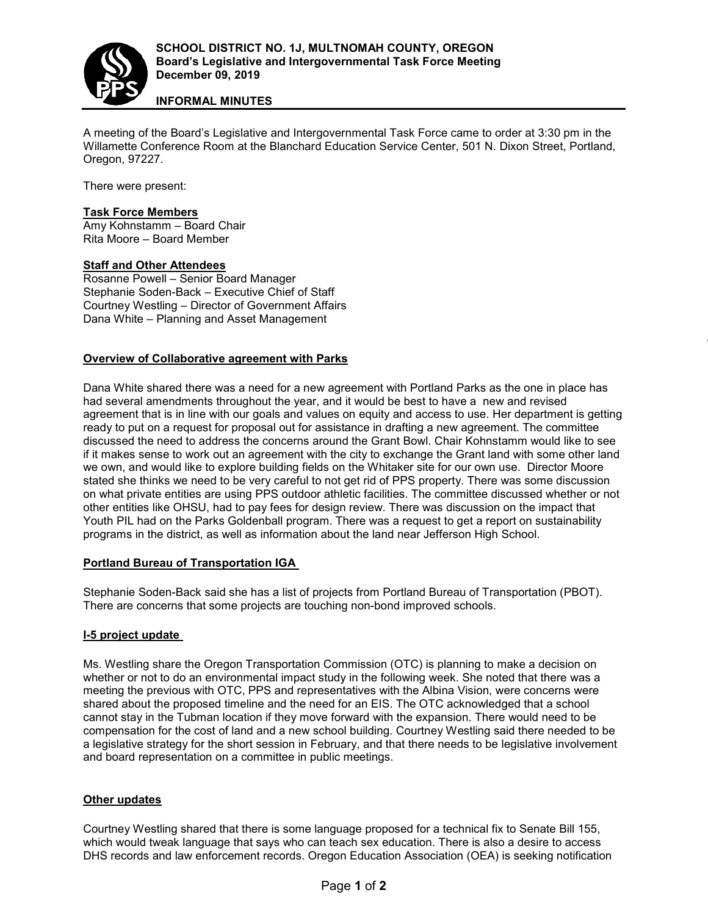

# **INFORMAL MINUTES**

A meeting of the Board's Legislative and Intergovernmental Task Force came to order at 3:30 pm in the Willamette Conference Room at the Blanchard Education Service Center, 501 N. Dixon Street, Portland, Oregon, 97227.

There were present:

## **Task Force Members**

Amy Kohnstamm – Board Chair Rita Moore – Board Member

### **Staff and Other Attendees**

Rosanne Powell – Senior Board Manager Stephanie Soden-Back – Executive Chief of Staff Courtney Westling – Director of Government Affairs Dana White – Planning and Asset Management

### **Overview of Collaborative agreement with Parks**

Dana White shared there was a need for a new agreement with Portland Parks as the one in place has had several amendments throughout the year, and it would be best to have a new and revised agreement that is in line with our goals and values on equity and access to use. Her department is getting ready to put on a request for proposal out for assistance in drafting a new agreement. The committee discussed the need to address the concerns around the Grant Bowl. Chair Kohnstamm would like to see if it makes sense to work out an agreement with the city to exchange the Grant land with some other land we own, and would like to explore building fields on the Whitaker site for our own use. Director Moore stated she thinks we need to be very careful to not get rid of PPS property. There was some discussion on what private entities are using PPS outdoor athletic facilities. The committee discussed whether or not other entities like OHSU, had to pay fees for design review. There was discussion on the impact that Youth PIL had on the Parks Goldenball program. There was a request to get a report on sustainability programs in the district, as well as information about the land near Jefferson High School.

#### **Portland Bureau of Transportation IGA**

Stephanie Soden-Back said she has a list of projects from Portland Bureau of Transportation (PBOT). There are concerns that some projects are touching non-bond improved schools.

## **I-5 project update**

Ms. Westling share the Oregon Transportation Commission (OTC) is planning to make a decision on whether or not to do an environmental impact study in the following week. She noted that there was a meeting the previous with OTC, PPS and representatives with the Albina Vision, were concerns were shared about the proposed timeline and the need for an EIS. The OTC acknowledged that a school cannot stay in the Tubman location if they move forward with the expansion. There would need to be compensation for the cost of land and a new school building. Courtney Westling said there needed to be a legislative strategy for the short session in February, and that there needs to be legislative involvement and board representation on a committee in public meetings.

#### **Other updates**

Courtney Westling shared that there is some language proposed for a technical fix to Senate Bill 155, which would tweak language that says who can teach sex education. There is also a desire to access DHS records and law enforcement records. Oregon Education Association (OEA) is seeking notification